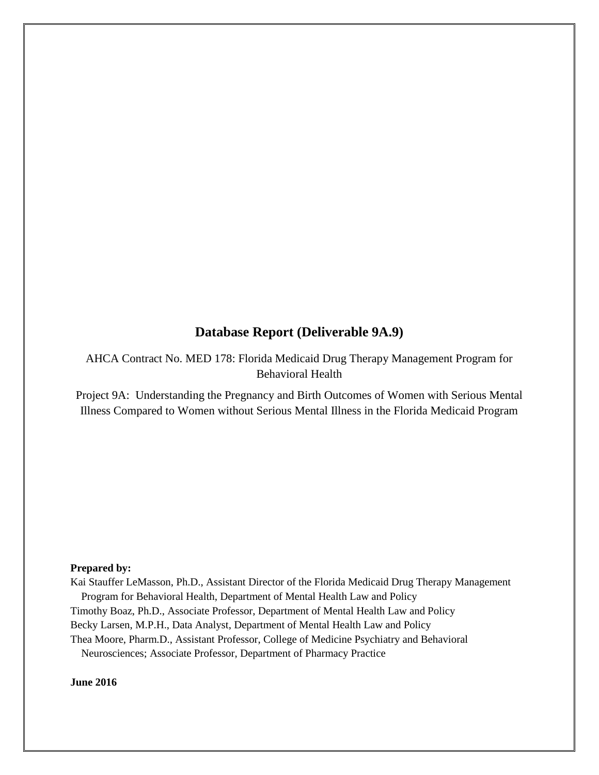## **Database Report (Deliverable 9A.9)**

AHCA Contract No. MED 178: Florida Medicaid Drug Therapy Management Program for Behavioral Health

Project 9A: Understanding the Pregnancy and Birth Outcomes of Women with Serious Mental Illness Compared to Women without Serious Mental Illness in the Florida Medicaid Program

#### **Prepared by:**

Kai Stauffer LeMasson, Ph.D., Assistant Director of the Florida Medicaid Drug Therapy Management Program for Behavioral Health, Department of Mental Health Law and Policy

Timothy Boaz, Ph.D., Associate Professor, Department of Mental Health Law and Policy

Becky Larsen, M.P.H., Data Analyst, Department of Mental Health Law and Policy

Thea Moore, Pharm.D., Assistant Professor, College of Medicine Psychiatry and Behavioral

Neurosciences; Associate Professor, Department of Pharmacy Practice

#### **June 2016**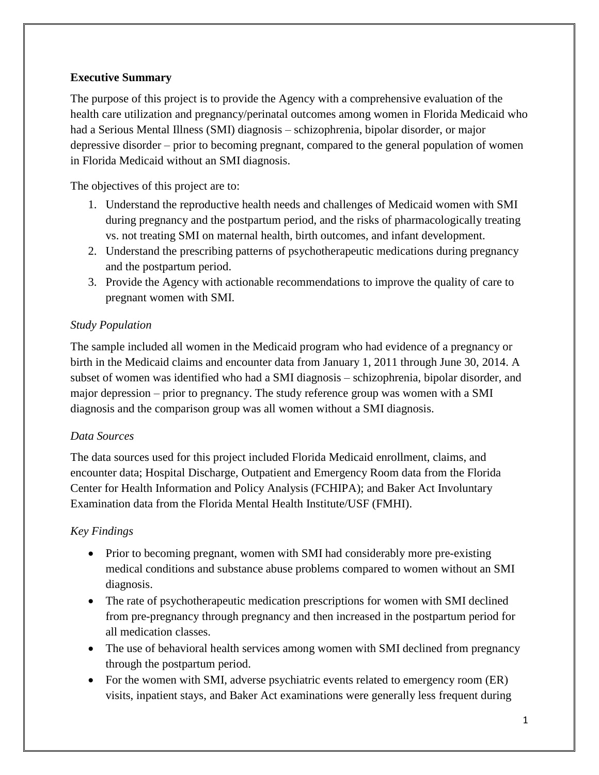## **Executive Summary**

The purpose of this project is to provide the Agency with a comprehensive evaluation of the health care utilization and pregnancy/perinatal outcomes among women in Florida Medicaid who had a Serious Mental Illness (SMI) diagnosis – schizophrenia, bipolar disorder, or major depressive disorder – prior to becoming pregnant, compared to the general population of women in Florida Medicaid without an SMI diagnosis.

The objectives of this project are to:

- 1. Understand the reproductive health needs and challenges of Medicaid women with SMI during pregnancy and the postpartum period, and the risks of pharmacologically treating vs. not treating SMI on maternal health, birth outcomes, and infant development.
- 2. Understand the prescribing patterns of psychotherapeutic medications during pregnancy and the postpartum period.
- 3. Provide the Agency with actionable recommendations to improve the quality of care to pregnant women with SMI.

## *Study Population*

The sample included all women in the Medicaid program who had evidence of a pregnancy or birth in the Medicaid claims and encounter data from January 1, 2011 through June 30, 2014. A subset of women was identified who had a SMI diagnosis – schizophrenia, bipolar disorder, and major depression – prior to pregnancy. The study reference group was women with a SMI diagnosis and the comparison group was all women without a SMI diagnosis.

## *Data Sources*

The data sources used for this project included Florida Medicaid enrollment, claims, and encounter data; Hospital Discharge, Outpatient and Emergency Room data from the Florida Center for Health Information and Policy Analysis (FCHIPA); and Baker Act Involuntary Examination data from the Florida Mental Health Institute/USF (FMHI).

## *Key Findings*

- Prior to becoming pregnant, women with SMI had considerably more pre-existing medical conditions and substance abuse problems compared to women without an SMI diagnosis.
- The rate of psychotherapeutic medication prescriptions for women with SMI declined from pre-pregnancy through pregnancy and then increased in the postpartum period for all medication classes.
- The use of behavioral health services among women with SMI declined from pregnancy through the postpartum period.
- For the women with SMI, adverse psychiatric events related to emergency room (ER) visits, inpatient stays, and Baker Act examinations were generally less frequent during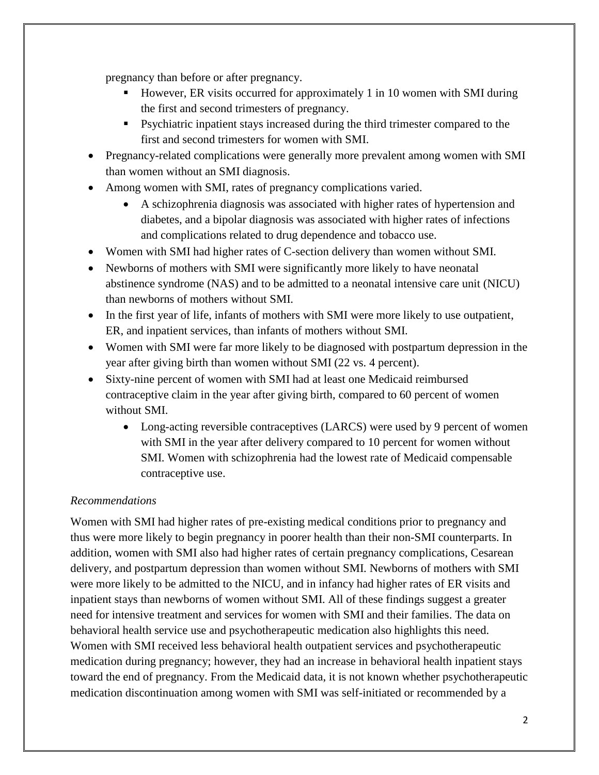pregnancy than before or after pregnancy.

- However, ER visits occurred for approximately 1 in 10 women with SMI during the first and second trimesters of pregnancy.
- Psychiatric inpatient stays increased during the third trimester compared to the first and second trimesters for women with SMI.
- Pregnancy-related complications were generally more prevalent among women with SMI than women without an SMI diagnosis.
- Among women with SMI, rates of pregnancy complications varied.
	- A schizophrenia diagnosis was associated with higher rates of hypertension and diabetes, and a bipolar diagnosis was associated with higher rates of infections and complications related to drug dependence and tobacco use.
- Women with SMI had higher rates of C-section delivery than women without SMI.
- Newborns of mothers with SMI were significantly more likely to have neonatal abstinence syndrome (NAS) and to be admitted to a neonatal intensive care unit (NICU) than newborns of mothers without SMI.
- In the first year of life, infants of mothers with SMI were more likely to use outpatient, ER, and inpatient services, than infants of mothers without SMI.
- Women with SMI were far more likely to be diagnosed with postpartum depression in the year after giving birth than women without SMI (22 vs. 4 percent).
- Sixty-nine percent of women with SMI had at least one Medicaid reimbursed contraceptive claim in the year after giving birth, compared to 60 percent of women without SMI.
	- Long-acting reversible contraceptives (LARCS) were used by 9 percent of women with SMI in the year after delivery compared to 10 percent for women without SMI. Women with schizophrenia had the lowest rate of Medicaid compensable contraceptive use.

## *Recommendations*

Women with SMI had higher rates of pre-existing medical conditions prior to pregnancy and thus were more likely to begin pregnancy in poorer health than their non-SMI counterparts. In addition, women with SMI also had higher rates of certain pregnancy complications, Cesarean delivery, and postpartum depression than women without SMI. Newborns of mothers with SMI were more likely to be admitted to the NICU, and in infancy had higher rates of ER visits and inpatient stays than newborns of women without SMI. All of these findings suggest a greater need for intensive treatment and services for women with SMI and their families. The data on behavioral health service use and psychotherapeutic medication also highlights this need. Women with SMI received less behavioral health outpatient services and psychotherapeutic medication during pregnancy; however, they had an increase in behavioral health inpatient stays toward the end of pregnancy. From the Medicaid data, it is not known whether psychotherapeutic medication discontinuation among women with SMI was self-initiated or recommended by a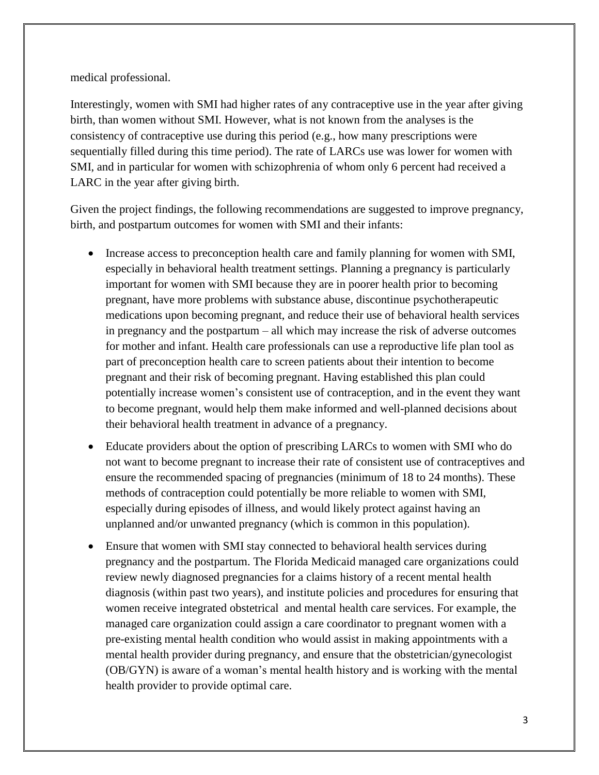medical professional.

Interestingly, women with SMI had higher rates of any contraceptive use in the year after giving birth, than women without SMI. However, what is not known from the analyses is the consistency of contraceptive use during this period (e.g., how many prescriptions were sequentially filled during this time period). The rate of LARCs use was lower for women with SMI, and in particular for women with schizophrenia of whom only 6 percent had received a LARC in the year after giving birth.

Given the project findings, the following recommendations are suggested to improve pregnancy, birth, and postpartum outcomes for women with SMI and their infants:

- Increase access to preconception health care and family planning for women with SMI, especially in behavioral health treatment settings. Planning a pregnancy is particularly important for women with SMI because they are in poorer health prior to becoming pregnant, have more problems with substance abuse, discontinue psychotherapeutic medications upon becoming pregnant, and reduce their use of behavioral health services in pregnancy and the postpartum – all which may increase the risk of adverse outcomes for mother and infant. Health care professionals can use a reproductive life plan tool as part of preconception health care to screen patients about their intention to become pregnant and their risk of becoming pregnant. Having established this plan could potentially increase women's consistent use of contraception, and in the event they want to become pregnant, would help them make informed and well-planned decisions about their behavioral health treatment in advance of a pregnancy.
- Educate providers about the option of prescribing LARCs to women with SMI who do not want to become pregnant to increase their rate of consistent use of contraceptives and ensure the recommended spacing of pregnancies (minimum of 18 to 24 months). These methods of contraception could potentially be more reliable to women with SMI, especially during episodes of illness, and would likely protect against having an unplanned and/or unwanted pregnancy (which is common in this population).
- Ensure that women with SMI stay connected to behavioral health services during pregnancy and the postpartum. The Florida Medicaid managed care organizations could review newly diagnosed pregnancies for a claims history of a recent mental health diagnosis (within past two years), and institute policies and procedures for ensuring that women receive integrated obstetrical and mental health care services. For example, the managed care organization could assign a care coordinator to pregnant women with a pre-existing mental health condition who would assist in making appointments with a mental health provider during pregnancy, and ensure that the obstetrician/gynecologist (OB/GYN) is aware of a woman's mental health history and is working with the mental health provider to provide optimal care.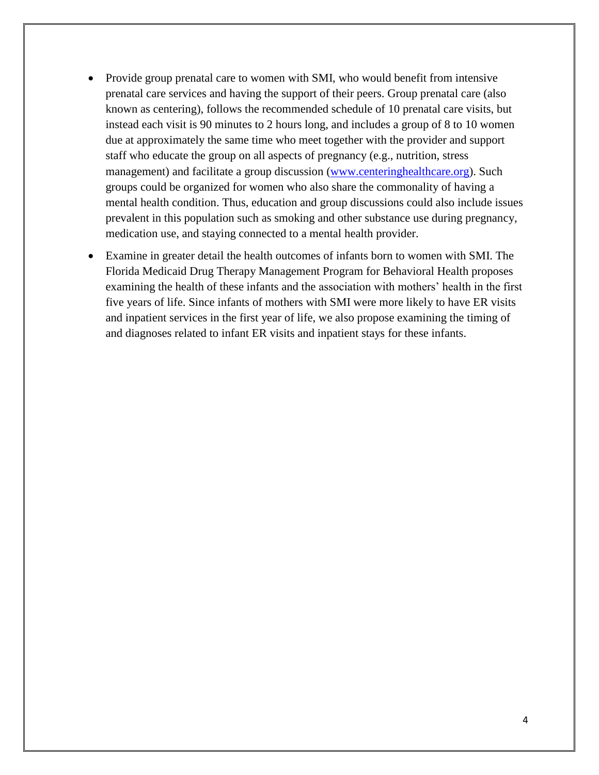- Provide group prenatal care to women with SMI, who would benefit from intensive prenatal care services and having the support of their peers. Group prenatal care (also known as centering), follows the recommended schedule of 10 prenatal care visits, but instead each visit is 90 minutes to 2 hours long, and includes a group of 8 to 10 women due at approximately the same time who meet together with the provider and support staff who educate the group on all aspects of pregnancy (e.g., nutrition, stress management) and facilitate a group discussion [\(www.centeringhealthcare.org\)](file://///forest.usf.edu/files/cbcs-priv/CBCS-MHLP%20Pharmacy/Project%209%20Women). Such groups could be organized for women who also share the commonality of having a mental health condition. Thus, education and group discussions could also include issues prevalent in this population such as smoking and other substance use during pregnancy, medication use, and staying connected to a mental health provider.
- Examine in greater detail the health outcomes of infants born to women with SMI. The Florida Medicaid Drug Therapy Management Program for Behavioral Health proposes examining the health of these infants and the association with mothers' health in the first five years of life. Since infants of mothers with SMI were more likely to have ER visits and inpatient services in the first year of life, we also propose examining the timing of and diagnoses related to infant ER visits and inpatient stays for these infants.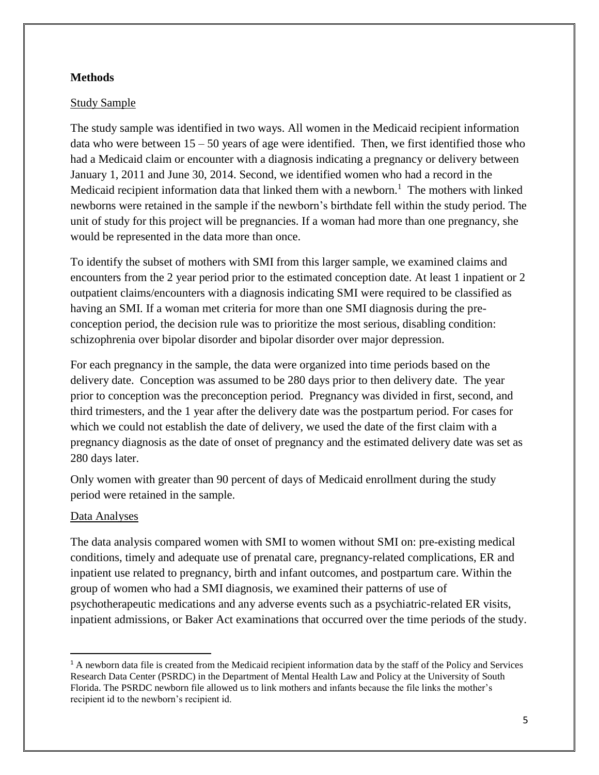## **Methods**

#### Study Sample

The study sample was identified in two ways. All women in the Medicaid recipient information data who were between  $15 - 50$  years of age were identified. Then, we first identified those who had a Medicaid claim or encounter with a diagnosis indicating a pregnancy or delivery between January 1, 2011 and June 30, 2014. Second, we identified women who had a record in the Medicaid recipient information data that linked them with a newborn.<sup>1</sup> The mothers with linked newborns were retained in the sample if the newborn's birthdate fell within the study period. The unit of study for this project will be pregnancies. If a woman had more than one pregnancy, she would be represented in the data more than once.

To identify the subset of mothers with SMI from this larger sample, we examined claims and encounters from the 2 year period prior to the estimated conception date. At least 1 inpatient or 2 outpatient claims/encounters with a diagnosis indicating SMI were required to be classified as having an SMI. If a woman met criteria for more than one SMI diagnosis during the preconception period, the decision rule was to prioritize the most serious, disabling condition: schizophrenia over bipolar disorder and bipolar disorder over major depression.

For each pregnancy in the sample, the data were organized into time periods based on the delivery date. Conception was assumed to be 280 days prior to then delivery date. The year prior to conception was the preconception period. Pregnancy was divided in first, second, and third trimesters, and the 1 year after the delivery date was the postpartum period. For cases for which we could not establish the date of delivery, we used the date of the first claim with a pregnancy diagnosis as the date of onset of pregnancy and the estimated delivery date was set as 280 days later.

Only women with greater than 90 percent of days of Medicaid enrollment during the study period were retained in the sample.

#### Data Analyses

 $\overline{\phantom{a}}$ 

The data analysis compared women with SMI to women without SMI on: pre-existing medical conditions, timely and adequate use of prenatal care, pregnancy-related complications, ER and inpatient use related to pregnancy, birth and infant outcomes, and postpartum care. Within the group of women who had a SMI diagnosis, we examined their patterns of use of psychotherapeutic medications and any adverse events such as a psychiatric-related ER visits, inpatient admissions, or Baker Act examinations that occurred over the time periods of the study.

<sup>&</sup>lt;sup>1</sup> A newborn data file is created from the Medicaid recipient information data by the staff of the Policy and Services Research Data Center (PSRDC) in the Department of Mental Health Law and Policy at the University of South Florida. The PSRDC newborn file allowed us to link mothers and infants because the file links the mother's recipient id to the newborn's recipient id.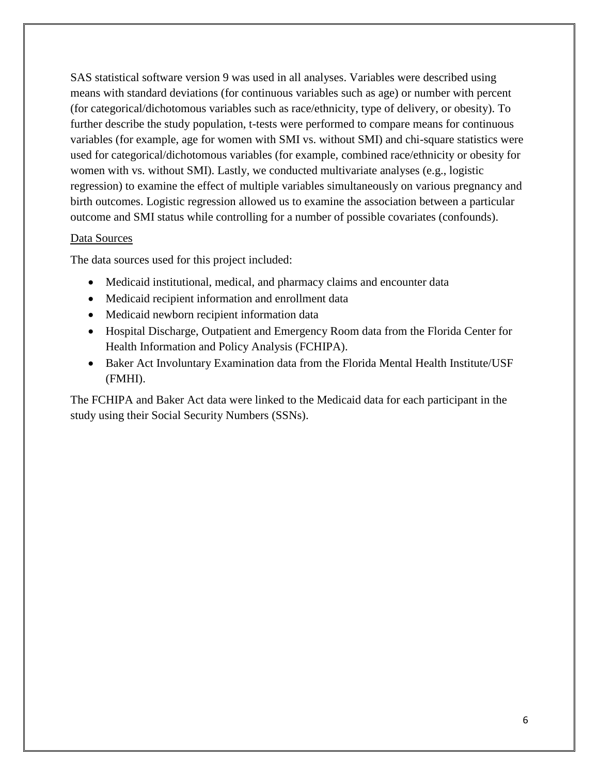SAS statistical software version 9 was used in all analyses. Variables were described using means with standard deviations (for continuous variables such as age) or number with percent (for categorical/dichotomous variables such as race/ethnicity, type of delivery, or obesity). To further describe the study population, t-tests were performed to compare means for continuous variables (for example, age for women with SMI vs. without SMI) and chi-square statistics were used for categorical/dichotomous variables (for example, combined race/ethnicity or obesity for women with vs. without SMI). Lastly, we conducted multivariate analyses (e.g., logistic regression) to examine the effect of multiple variables simultaneously on various pregnancy and birth outcomes. Logistic regression allowed us to examine the association between a particular outcome and SMI status while controlling for a number of possible covariates (confounds).

### Data Sources

The data sources used for this project included:

- Medicaid institutional, medical, and pharmacy claims and encounter data
- Medicaid recipient information and enrollment data
- Medicaid newborn recipient information data
- Hospital Discharge, Outpatient and Emergency Room data from the Florida Center for Health Information and Policy Analysis (FCHIPA).
- Baker Act Involuntary Examination data from the Florida Mental Health Institute/USF (FMHI).

The FCHIPA and Baker Act data were linked to the Medicaid data for each participant in the study using their Social Security Numbers (SSNs).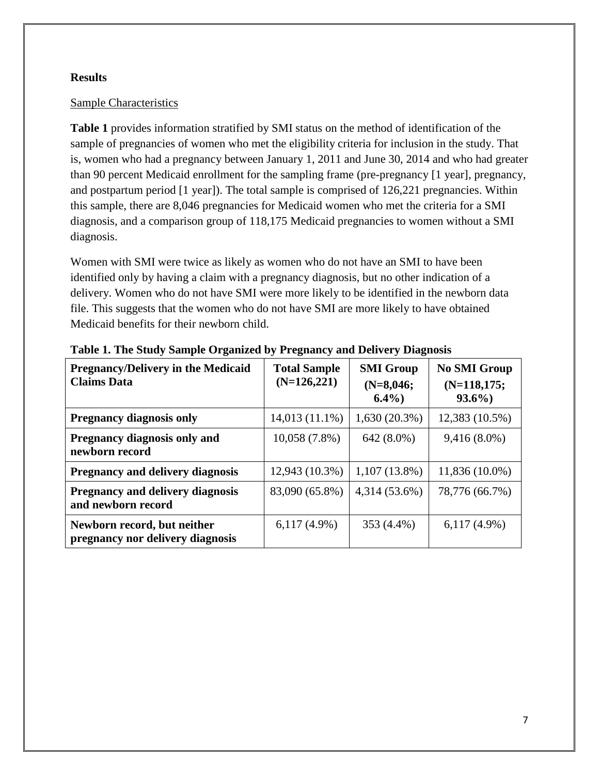## **Results**

### Sample Characteristics

**Table 1** provides information stratified by SMI status on the method of identification of the sample of pregnancies of women who met the eligibility criteria for inclusion in the study. That is, women who had a pregnancy between January 1, 2011 and June 30, 2014 and who had greater than 90 percent Medicaid enrollment for the sampling frame (pre-pregnancy [1 year], pregnancy, and postpartum period [1 year]). The total sample is comprised of 126,221 pregnancies. Within this sample, there are 8,046 pregnancies for Medicaid women who met the criteria for a SMI diagnosis, and a comparison group of 118,175 Medicaid pregnancies to women without a SMI diagnosis.

Women with SMI were twice as likely as women who do not have an SMI to have been identified only by having a claim with a pregnancy diagnosis, but no other indication of a delivery. Women who do not have SMI were more likely to be identified in the newborn data file. This suggests that the women who do not have SMI are more likely to have obtained Medicaid benefits for their newborn child.

| <b>Pregnancy/Delivery in the Medicaid</b><br><b>Claims Data</b> | <b>Total Sample</b><br>$(N=126,221)$ | <b>SMI Group</b><br>$(N=8,046;$<br>$6.4\%$ | <b>No SMI Group</b><br>$(N=118,175;$<br>$93.6\%$ |
|-----------------------------------------------------------------|--------------------------------------|--------------------------------------------|--------------------------------------------------|
| <b>Pregnancy diagnosis only</b>                                 | 14,013 (11.1%)                       | $1,630(20.3\%)$                            | 12,383 (10.5%)                                   |
| <b>Pregnancy diagnosis only and</b><br>newborn record           | $10,058(7.8\%)$                      | 642 (8.0%)                                 | $9,416(8.0\%)$                                   |
| <b>Pregnancy and delivery diagnosis</b>                         | 12,943 (10.3%)                       | $1,107(13.8\%)$                            | 11,836 (10.0%)                                   |
| <b>Pregnancy and delivery diagnosis</b><br>and newborn record   | 83,090 (65.8%)                       | 4,314 (53.6%)                              | 78,776 (66.7%)                                   |
| Newborn record, but neither<br>pregnancy nor delivery diagnosis | $6,117(4.9\%)$                       | 353 (4.4%)                                 | $6,117(4.9\%)$                                   |

**Table 1. The Study Sample Organized by Pregnancy and Delivery Diagnosis**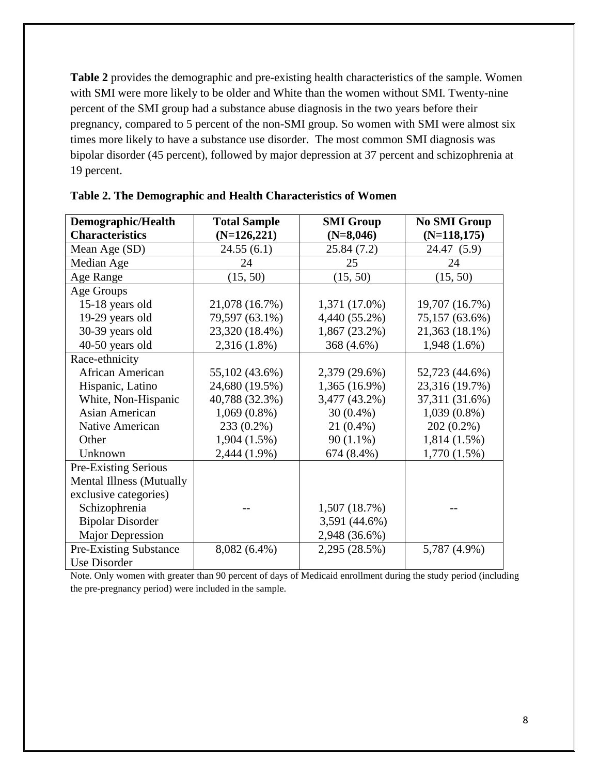**Table 2** provides the demographic and pre-existing health characteristics of the sample. Women with SMI were more likely to be older and White than the women without SMI. Twenty-nine percent of the SMI group had a substance abuse diagnosis in the two years before their pregnancy, compared to 5 percent of the non-SMI group. So women with SMI were almost six times more likely to have a substance use disorder. The most common SMI diagnosis was bipolar disorder (45 percent), followed by major depression at 37 percent and schizophrenia at 19 percent.

| Demographic/Health              | <b>Total Sample</b> | <b>SMI Group</b> | <b>No SMI Group</b> |
|---------------------------------|---------------------|------------------|---------------------|
| <b>Characteristics</b>          | $(N=126,221)$       | $(N=8,046)$      | $(N=118,175)$       |
| Mean Age (SD)                   | 24.55(6.1)          | 25.84(7.2)       | 24.47 (5.9)         |
| Median Age                      | 24                  | 25               | 24                  |
| Age Range                       | (15, 50)            | (15, 50)         | (15, 50)            |
| Age Groups                      |                     |                  |                     |
| 15-18 years old                 | 21,078 (16.7%)      | 1,371 (17.0%)    | 19,707 (16.7%)      |
| 19-29 years old                 | 79,597 (63.1%)      | 4,440 (55.2%)    | 75,157 (63.6%)      |
| 30-39 years old                 | 23,320 (18.4%)      | 1,867 (23.2%)    | 21,363 (18.1%)      |
| 40-50 years old                 | 2,316 (1.8%)        | 368 (4.6%)       | $1,948(1.6\%)$      |
| Race-ethnicity                  |                     |                  |                     |
| <b>African American</b>         | 55,102 (43.6%)      | 2,379 (29.6%)    | 52,723 (44.6%)      |
| Hispanic, Latino                | 24,680 (19.5%)      | 1,365 (16.9%)    | 23,316 (19.7%)      |
| White, Non-Hispanic             | 40,788 (32.3%)      | 3,477 (43.2%)    | 37,311 (31.6%)      |
| <b>Asian American</b>           | $1,069(0.8\%)$      | $30(0.4\%)$      | $1,039(0.8\%)$      |
| Native American                 | 233 (0.2%)          | $21(0.4\%)$      | $202(0.2\%)$        |
| Other                           | $1,904(1.5\%)$      | $90(1.1\%)$      | $1,814(1.5\%)$      |
| Unknown                         | 2,444 (1.9%)        | 674 (8.4%)       | $1,770(1.5\%)$      |
| Pre-Existing Serious            |                     |                  |                     |
| <b>Mental Illness (Mutually</b> |                     |                  |                     |
| exclusive categories)           |                     |                  |                     |
| Schizophrenia                   |                     | 1,507 (18.7%)    |                     |
| <b>Bipolar Disorder</b>         |                     | 3,591 (44.6%)    |                     |
| <b>Major Depression</b>         |                     | 2,948 (36.6%)    |                     |
| <b>Pre-Existing Substance</b>   | 8,082 (6.4%)        | 2,295 (28.5%)    | 5,787 (4.9%)        |
| Use Disorder                    |                     |                  |                     |

**Table 2. The Demographic and Health Characteristics of Women** 

Note. Only women with greater than 90 percent of days of Medicaid enrollment during the study period (including the pre-pregnancy period) were included in the sample.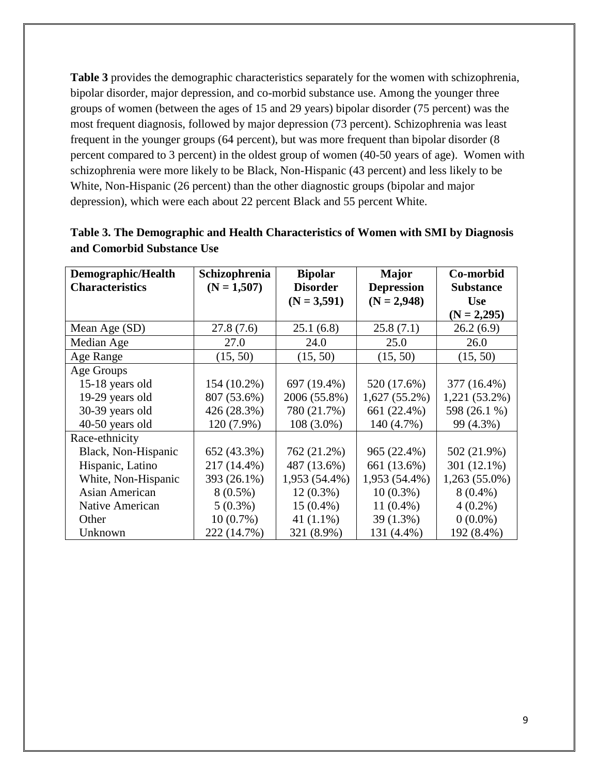**Table 3** provides the demographic characteristics separately for the women with schizophrenia, bipolar disorder, major depression, and co-morbid substance use. Among the younger three groups of women (between the ages of 15 and 29 years) bipolar disorder (75 percent) was the most frequent diagnosis, followed by major depression (73 percent). Schizophrenia was least frequent in the younger groups (64 percent), but was more frequent than bipolar disorder (8 percent compared to 3 percent) in the oldest group of women (40-50 years of age). Women with schizophrenia were more likely to be Black, Non-Hispanic (43 percent) and less likely to be White, Non-Hispanic (26 percent) than the other diagnostic groups (bipolar and major depression), which were each about 22 percent Black and 55 percent White.

| Demographic/Health     | Schizophrenia | <b>Bipolar</b>  | <b>Major</b>      | Co-morbid        |
|------------------------|---------------|-----------------|-------------------|------------------|
| <b>Characteristics</b> | $(N = 1,507)$ | <b>Disorder</b> | <b>Depression</b> | <b>Substance</b> |
|                        |               | $(N = 3,591)$   | $(N = 2,948)$     | <b>Use</b>       |
|                        |               |                 |                   | $(N = 2,295)$    |
| Mean Age (SD)          | 27.8 (7.6)    | 25.1(6.8)       | 25.8(7.1)         | 26.2(6.9)        |
| Median Age             | 27.0          | 24.0            | 25.0              | 26.0             |
| Age Range              | (15, 50)      | (15, 50)        | (15, 50)          | (15, 50)         |
| Age Groups             |               |                 |                   |                  |
| 15-18 years old        | 154 (10.2%)   | 697 (19.4%)     | 520 (17.6%)       | 377 (16.4%)      |
| 19-29 years old        | 807 (53.6%)   | 2006 (55.8%)    | $1,627(55.2\%)$   | $1,221(53.2\%)$  |
| 30-39 years old        | 426 (28.3%)   | 780 (21.7%)     | 661 (22.4%)       | 598 (26.1 %)     |
| 40-50 years old        | 120 (7.9%)    | $108(3.0\%)$    | 140 (4.7%)        | 99 (4.3%)        |
| Race-ethnicity         |               |                 |                   |                  |
| Black, Non-Hispanic    | 652 (43.3%)   | 762 (21.2%)     | 965 (22.4%)       | 502 (21.9%)      |
| Hispanic, Latino       | 217 (14.4%)   | 487 (13.6%)     | 661 (13.6%)       | 301 (12.1%)      |
| White, Non-Hispanic    | 393 (26.1%)   | 1,953 (54.4%)   | 1,953 (54.4%)     | $1,263(55.0\%)$  |
| Asian American         | $8(0.5\%)$    | $12(0.3\%)$     | $10(0.3\%)$       | $8(0.4\%)$       |
| Native American        | $5(0.3\%)$    | $15(0.4\%)$     | $11(0.4\%)$       | $4(0.2\%)$       |
| Other                  | $10(0.7\%)$   | 41 $(1.1\%)$    | 39 (1.3%)         | $0(0.0\%)$       |
| Unknown                | 222 (14.7%)   | 321 (8.9%)      | 131 (4.4%)        | 192 (8.4%)       |

**Table 3. The Demographic and Health Characteristics of Women with SMI by Diagnosis and Comorbid Substance Use**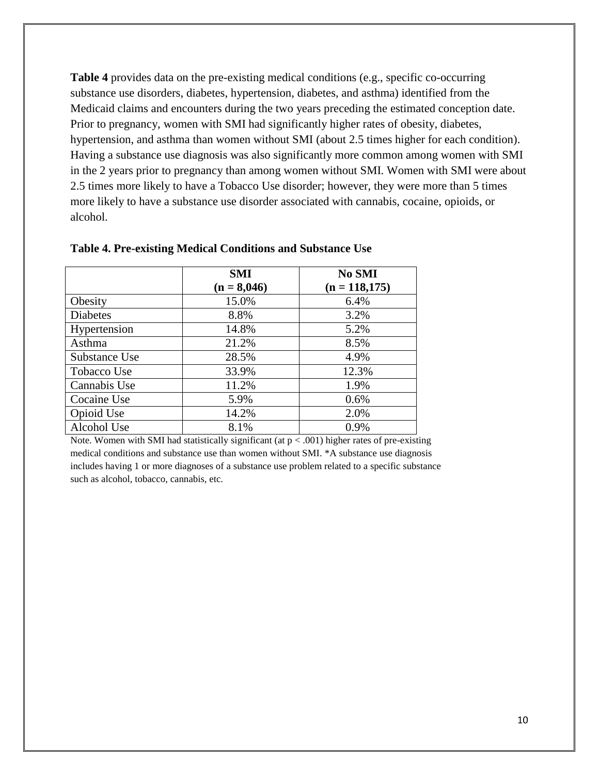**Table 4** provides data on the pre-existing medical conditions (e.g., specific co-occurring substance use disorders, diabetes, hypertension, diabetes, and asthma) identified from the Medicaid claims and encounters during the two years preceding the estimated conception date. Prior to pregnancy, women with SMI had significantly higher rates of obesity, diabetes, hypertension, and asthma than women without SMI (about 2.5 times higher for each condition). Having a substance use diagnosis was also significantly more common among women with SMI in the 2 years prior to pregnancy than among women without SMI. Women with SMI were about 2.5 times more likely to have a Tobacco Use disorder; however, they were more than 5 times more likely to have a substance use disorder associated with cannabis, cocaine, opioids, or alcohol.

|                 | <b>SMI</b><br>$(n = 8,046)$ | No SMI<br>$(n = 118, 175)$ |
|-----------------|-----------------------------|----------------------------|
| Obesity         | 15.0%                       | 6.4%                       |
| <b>Diabetes</b> | 8.8%                        | 3.2%                       |
| Hypertension    | 14.8%                       | 5.2%                       |
| Asthma          | 21.2%                       | 8.5%                       |
| Substance Use   | 28.5%                       | 4.9%                       |
| Tobacco Use     | 33.9%                       | 12.3%                      |
| Cannabis Use    | 11.2%                       | 1.9%                       |
| Cocaine Use     | 5.9%                        | 0.6%                       |
| Opioid Use      | 14.2%                       | 2.0%                       |
| Alcohol Use     | 8.1%                        | 0.9%                       |

**Table 4. Pre-existing Medical Conditions and Substance Use**

Note. Women with SMI had statistically significant (at  $p < .001$ ) higher rates of pre-existing medical conditions and substance use than women without SMI. \*A substance use diagnosis includes having 1 or more diagnoses of a substance use problem related to a specific substance such as alcohol, tobacco, cannabis, etc.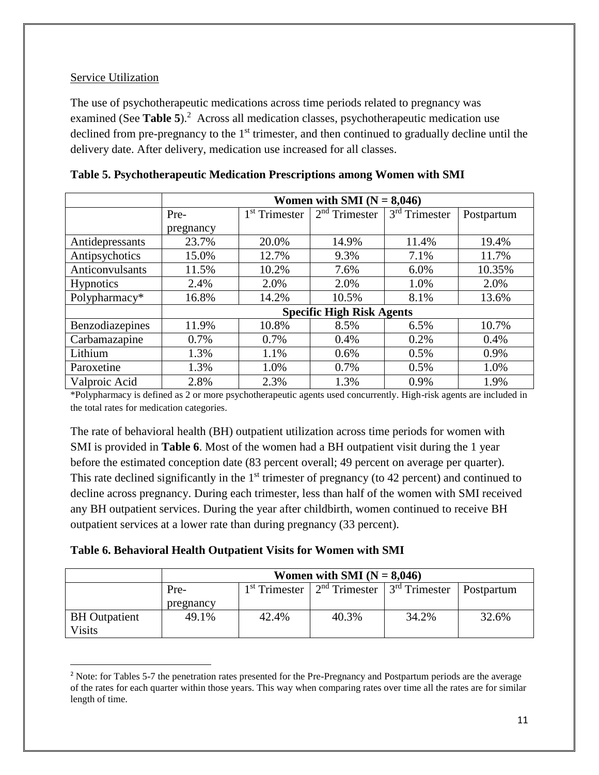## Service Utilization

 $\overline{\phantom{a}}$ 

The use of psychotherapeutic medications across time periods related to pregnancy was examined (See **Table 5**)<sup>2</sup> Across all medication classes, psychotherapeutic medication use declined from pre-pregnancy to the 1<sup>st</sup> trimester, and then continued to gradually decline until the delivery date. After delivery, medication use increased for all classes.

|                  | Women with SMI $(N = 8,046)$     |                           |                 |                 |            |
|------------------|----------------------------------|---------------------------|-----------------|-----------------|------------|
|                  | Pre-                             | 1 <sup>st</sup> Trimester | $2nd$ Trimester | $3rd$ Trimester | Postpartum |
|                  | pregnancy                        |                           |                 |                 |            |
| Antidepressants  | 23.7%                            | 20.0%                     | 14.9%           | 11.4%           | 19.4%      |
| Antipsychotics   | 15.0%                            | 12.7%                     | 9.3%            | 7.1%            | 11.7%      |
| Anticonvulsants  | 11.5%                            | 10.2%                     | 7.6%            | 6.0%            | 10.35%     |
| <b>Hypnotics</b> | 2.4%                             | 2.0%                      | 2.0%            | 1.0%            | 2.0%       |
| Polypharmacy*    | 16.8%                            | 14.2%                     | 10.5%           | 8.1%            | 13.6%      |
|                  | <b>Specific High Risk Agents</b> |                           |                 |                 |            |
| Benzodiazepines  | 11.9%                            | 10.8%                     | 8.5%            | 6.5%            | 10.7%      |
| Carbamazapine    | 0.7%                             | 0.7%                      | 0.4%            | 0.2%            | 0.4%       |
| Lithium          | 1.3%                             | 1.1%                      | 0.6%            | 0.5%            | 0.9%       |
| Paroxetine       | 1.3%                             | 1.0%                      | 0.7%            | 0.5%            | 1.0%       |
| Valproic Acid    | 2.8%                             | 2.3%                      | 1.3%            | 0.9%            | 1.9%       |

|  | Table 5. Psychotherapeutic Medication Prescriptions among Women with SMI |  |  |  |
|--|--------------------------------------------------------------------------|--|--|--|
|  |                                                                          |  |  |  |
|  |                                                                          |  |  |  |
|  |                                                                          |  |  |  |

\*Polypharmacy is defined as 2 or more psychotherapeutic agents used concurrently. High-risk agents are included in the total rates for medication categories.

The rate of behavioral health (BH) outpatient utilization across time periods for women with SMI is provided in **Table 6**. Most of the women had a BH outpatient visit during the 1 year before the estimated conception date (83 percent overall; 49 percent on average per quarter). This rate declined significantly in the  $1<sup>st</sup>$  trimester of pregnancy (to 42 percent) and continued to decline across pregnancy. During each trimester, less than half of the women with SMI received any BH outpatient services. During the year after childbirth, women continued to receive BH outpatient services at a lower rate than during pregnancy (33 percent).

## **Table 6. Behavioral Health Outpatient Visits for Women with SMI**

|                                       | Women with SMI $(N = 8,046)$ |       |                                                     |       |                   |
|---------------------------------------|------------------------------|-------|-----------------------------------------------------|-------|-------------------|
|                                       | Pre-                         |       | $1st$ Trimester   $2nd$ Trimester   $3rd$ Trimester |       | <b>Postpartum</b> |
|                                       | pregnancy                    |       |                                                     |       |                   |
| <b>BH</b> Outpatient<br><b>Visits</b> | 49.1%                        | 42.4% | 40.3%                                               | 34.2% | 32.6%             |

<sup>&</sup>lt;sup>2</sup> Note: for Tables 5-7 the penetration rates presented for the Pre-Pregnancy and Postpartum periods are the average of the rates for each quarter within those years. This way when comparing rates over time all the rates are for similar length of time.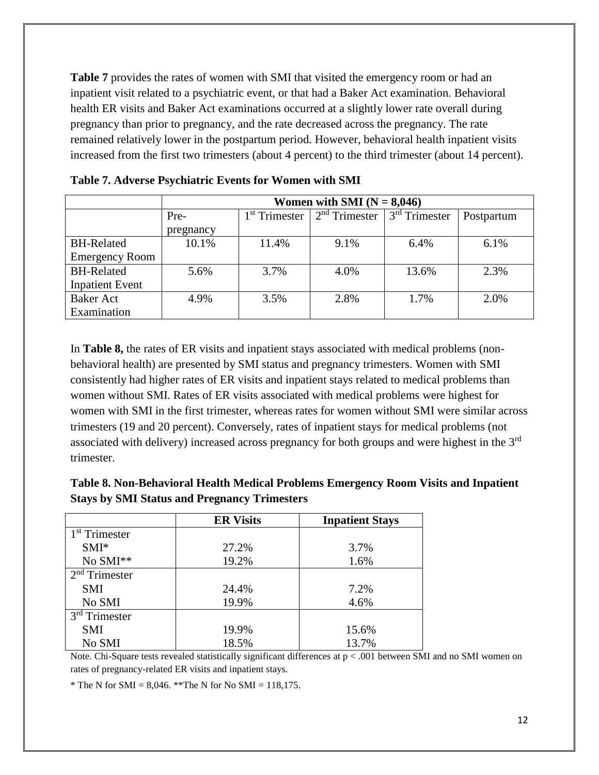**Table 7** provides the rates of women with SMI that visited the emergency room or had an inpatient visit related to a psychiatric event, or that had a Baker Act examination. Behavioral health ER visits and Baker Act examinations occurred at a slightly lower rate overall during pregnancy than prior to pregnancy, and the rate decreased across the pregnancy. The rate remained relatively lower in the postpartum period. However, behavioral health inpatient visits increased from the first two trimesters (about 4 percent) to the third trimester (about 14 percent).

|                        | Women with SMI $(N = 8,046)$ |                           |                 |                 |            |
|------------------------|------------------------------|---------------------------|-----------------|-----------------|------------|
|                        | Pre-                         | 1 <sup>st</sup> Trimester | $2nd$ Trimester | $3rd$ Trimester | Postpartum |
|                        | pregnancy                    |                           |                 |                 |            |
| <b>BH-Related</b>      | 10.1%                        | 11.4%                     | 9.1%            | 6.4%            | 6.1%       |
| <b>Emergency Room</b>  |                              |                           |                 |                 |            |
| <b>BH-Related</b>      | 5.6%                         | 3.7%                      | 4.0%            | 13.6%           | 2.3%       |
| <b>Inpatient Event</b> |                              |                           |                 |                 |            |
| <b>Baker Act</b>       | 4.9%                         | 3.5%                      | 2.8%            | 1.7%            | 2.0%       |
| Examination            |                              |                           |                 |                 |            |

| Table 7. Adverse Psychiatric Events for Women with SMI |  |  |  |  |
|--------------------------------------------------------|--|--|--|--|
|--------------------------------------------------------|--|--|--|--|

In **Table 8,** the rates of ER visits and inpatient stays associated with medical problems (nonbehavioral health) are presented by SMI status and pregnancy trimesters. Women with SMI consistently had higher rates of ER visits and inpatient stays related to medical problems than women without SMI. Rates of ER visits associated with medical problems were highest for women with SMI in the first trimester, whereas rates for women without SMI were similar across trimesters (19 and 20 percent). Conversely, rates of inpatient stays for medical problems (not associated with delivery) increased across pregnancy for both groups and were highest in the 3rd trimester.

| Table 8. Non-Behavioral Health Medical Problems Emergency Room Visits and Inpatient |  |
|-------------------------------------------------------------------------------------|--|
| <b>Stays by SMI Status and Pregnancy Trimesters</b>                                 |  |

|                           | <b>ER Visits</b> | <b>Inpatient Stays</b> |
|---------------------------|------------------|------------------------|
| 1 <sup>st</sup> Trimester |                  |                        |
| $SMI^*$                   | 27.2%            | 3.7%                   |
| No SMI**                  | 19.2%            | 1.6%                   |
| $2nd$ Trimester           |                  |                        |
| <b>SMI</b>                | 24.4%            | 7.2%                   |
| No SMI                    | 19.9%            | 4.6%                   |
| $3rd$ Trimester           |                  |                        |
| <b>SMI</b>                | 19.9%            | 15.6%                  |
| No SMI                    | 18.5%            | 13.7%                  |

Note. Chi-Square tests revealed statistically significant differences at  $p < .001$  between SMI and no SMI women on rates of pregnancy-related ER visits and inpatient stays.

\* The N for SMI = 8,046. \*\* The N for No SMI = 118,175.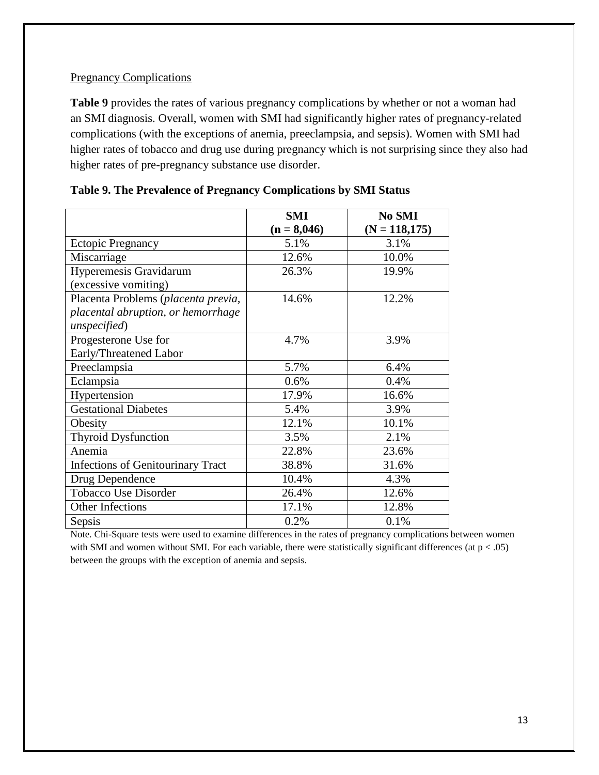## **Pregnancy Complications**

**Table 9** provides the rates of various pregnancy complications by whether or not a woman had an SMI diagnosis. Overall, women with SMI had significantly higher rates of pregnancy-related complications (with the exceptions of anemia, preeclampsia, and sepsis). Women with SMI had higher rates of tobacco and drug use during pregnancy which is not surprising since they also had higher rates of pre-pregnancy substance use disorder.

|                                          | <b>SMI</b>    | No SMI           |
|------------------------------------------|---------------|------------------|
|                                          | $(n = 8,046)$ | $(N = 118, 175)$ |
| <b>Ectopic Pregnancy</b>                 | 5.1%          | 3.1%             |
| Miscarriage                              | 12.6%         | 10.0%            |
| Hyperemesis Gravidarum                   | 26.3%         | 19.9%            |
| (excessive vomiting)                     |               |                  |
| Placenta Problems (placenta previa,      | 14.6%         | 12.2%            |
| placental abruption, or hemorrhage       |               |                  |
| unspecified)                             |               |                  |
| Progesterone Use for                     | 4.7%          | 3.9%             |
| Early/Threatened Labor                   |               |                  |
| Preeclampsia                             | 5.7%          | 6.4%             |
| Eclampsia                                | 0.6%          | 0.4%             |
| Hypertension                             | 17.9%         | 16.6%            |
| <b>Gestational Diabetes</b>              | 5.4%          | 3.9%             |
| Obesity                                  | 12.1%         | 10.1%            |
| <b>Thyroid Dysfunction</b>               | 3.5%          | 2.1%             |
| Anemia                                   | 22.8%         | 23.6%            |
| <b>Infections of Genitourinary Tract</b> | 38.8%         | 31.6%            |
| Drug Dependence                          | 10.4%         | 4.3%             |
| <b>Tobacco Use Disorder</b>              | 26.4%         | 12.6%            |
| Other Infections                         | 17.1%         | 12.8%            |
| Sepsis                                   | 0.2%          | 0.1%             |

|  |  | Table 9. The Prevalence of Pregnancy Complications by SMI Status |  |  |  |
|--|--|------------------------------------------------------------------|--|--|--|
|  |  |                                                                  |  |  |  |

Note. Chi-Square tests were used to examine differences in the rates of pregnancy complications between women with SMI and women without SMI. For each variable, there were statistically significant differences (at  $p < .05$ ) between the groups with the exception of anemia and sepsis.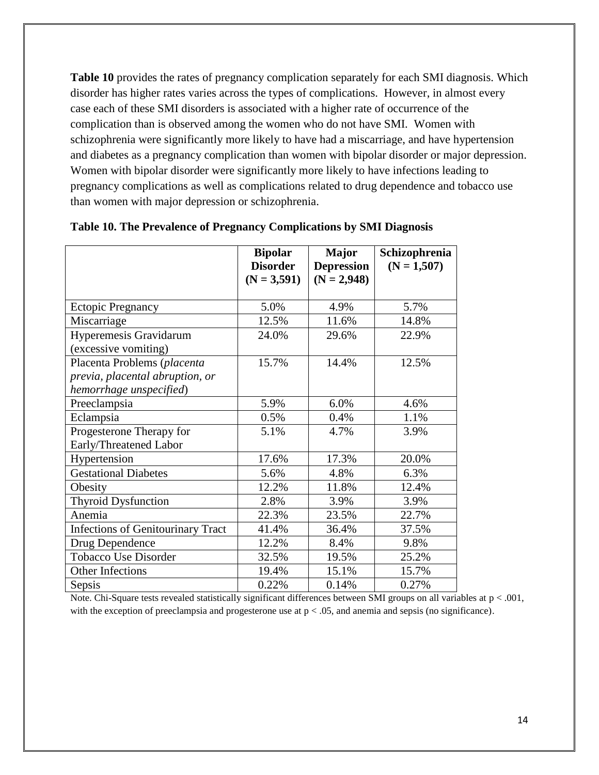**Table 10** provides the rates of pregnancy complication separately for each SMI diagnosis. Which disorder has higher rates varies across the types of complications. However, in almost every case each of these SMI disorders is associated with a higher rate of occurrence of the complication than is observed among the women who do not have SMI. Women with schizophrenia were significantly more likely to have had a miscarriage, and have hypertension and diabetes as a pregnancy complication than women with bipolar disorder or major depression. Women with bipolar disorder were significantly more likely to have infections leading to pregnancy complications as well as complications related to drug dependence and tobacco use than women with major depression or schizophrenia.

|                                          | <b>Bipolar</b><br><b>Disorder</b> | <b>Major</b><br><b>Depression</b> | Schizophrenia<br>$(N = 1,507)$ |
|------------------------------------------|-----------------------------------|-----------------------------------|--------------------------------|
|                                          | $(N = 3,591)$                     | $(N = 2,948)$                     |                                |
|                                          |                                   |                                   |                                |
| <b>Ectopic Pregnancy</b>                 | 5.0%                              | 4.9%                              | 5.7%                           |
| Miscarriage                              | 12.5%                             | 11.6%                             | 14.8%                          |
| Hyperemesis Gravidarum                   | 24.0%                             | 29.6%                             | 22.9%                          |
| (excessive vomiting)                     |                                   |                                   |                                |
| Placenta Problems (placenta              | 15.7%                             | 14.4%                             | 12.5%                          |
| previa, placental abruption, or          |                                   |                                   |                                |
| hemorrhage unspecified)                  |                                   |                                   |                                |
| Preeclampsia                             | 5.9%                              | 6.0%                              | 4.6%                           |
| Eclampsia                                | 0.5%                              | 0.4%                              | 1.1%                           |
| Progesterone Therapy for                 | 5.1%                              | 4.7%                              | 3.9%                           |
| Early/Threatened Labor                   |                                   |                                   |                                |
| Hypertension                             | 17.6%                             | 17.3%                             | 20.0%                          |
| <b>Gestational Diabetes</b>              | 5.6%                              | 4.8%                              | 6.3%                           |
| Obesity                                  | 12.2%                             | 11.8%                             | 12.4%                          |
| <b>Thyroid Dysfunction</b>               | 2.8%                              | 3.9%                              | 3.9%                           |
| Anemia                                   | 22.3%                             | 23.5%                             | 22.7%                          |
| <b>Infections of Genitourinary Tract</b> | 41.4%                             | 36.4%                             | 37.5%                          |
| Drug Dependence                          | 12.2%                             | 8.4%                              | 9.8%                           |
| Tobacco Use Disorder                     | 32.5%                             | 19.5%                             | 25.2%                          |
| Other Infections                         | 19.4%                             | 15.1%                             | 15.7%                          |
| Sepsis                                   | 0.22%                             | 0.14%                             | 0.27%                          |

#### **Table 10. The Prevalence of Pregnancy Complications by SMI Diagnosis**

Note. Chi-Square tests revealed statistically significant differences between SMI groups on all variables at p < .001, with the exception of preeclampsia and progesterone use at  $p < .05$ , and anemia and sepsis (no significance).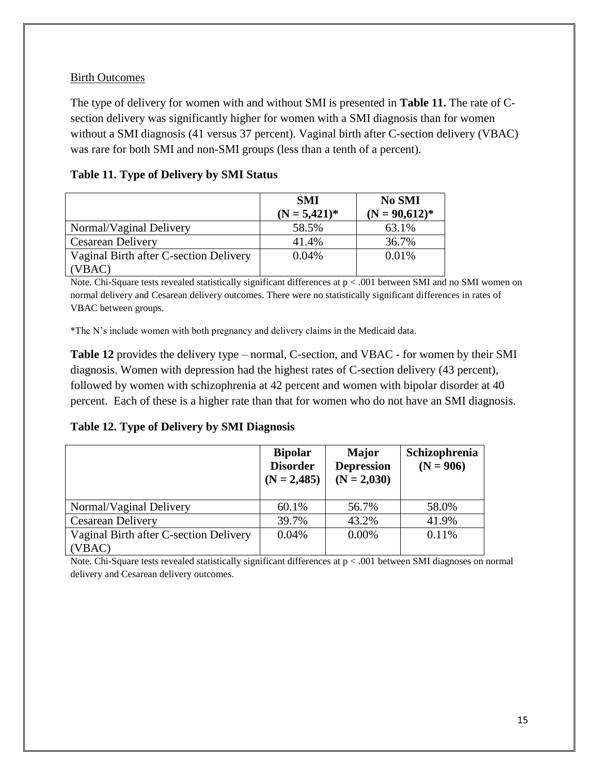## Birth Outcomes

The type of delivery for women with and without SMI is presented in **Table 11.** The rate of Csection delivery was significantly higher for women with a SMI diagnosis than for women without a SMI diagnosis (41 versus 37 percent). Vaginal birth after C-section delivery (VBAC) was rare for both SMI and non-SMI groups (less than a tenth of a percent).

|                                        | <b>SMI</b><br>$(N = 5,421)^*$ | No SMI<br>$(N = 90,612)*$ |
|----------------------------------------|-------------------------------|---------------------------|
| Normal/Vaginal Delivery                | 58.5%                         | 63.1%                     |
| <b>Cesarean Delivery</b>               | 41.4%                         | 36.7%                     |
| Vaginal Birth after C-section Delivery | 0.04%                         | 0.01%                     |
| VBAC)                                  |                               |                           |

## **Table 11. Type of Delivery by SMI Status**

Note. Chi-Square tests revealed statistically significant differences at p < .001 between SMI and no SMI women on normal delivery and Cesarean delivery outcomes. There were no statistically significant differences in rates of VBAC between groups.

\*The N's include women with both pregnancy and delivery claims in the Medicaid data.

**Table 12** provides the delivery type – normal, C-section, and VBAC - for women by their SMI diagnosis. Women with depression had the highest rates of C-section delivery (43 percent), followed by women with schizophrenia at 42 percent and women with bipolar disorder at 40 percent. Each of these is a higher rate than that for women who do not have an SMI diagnosis.

**Table 12. Type of Delivery by SMI Diagnosis**

|                                        | <b>Bipolar</b><br><b>Disorder</b><br>$(N = 2,485)$ | <b>Major</b><br><b>Depression</b><br>$(N = 2,030)$ | Schizophrenia<br>$(N = 906)$ |
|----------------------------------------|----------------------------------------------------|----------------------------------------------------|------------------------------|
| Normal/Vaginal Delivery                | 60.1%                                              | 56.7%                                              | 58.0%                        |
| <b>Cesarean Delivery</b>               | 39.7%                                              | 43.2%                                              | 41.9%                        |
| Vaginal Birth after C-section Delivery | 0.04%                                              | 0.00%                                              | 0.11%                        |
| (VBAC)                                 |                                                    |                                                    |                              |

Note. Chi-Square tests revealed statistically significant differences at  $p < .001$  between SMI diagnoses on normal delivery and Cesarean delivery outcomes.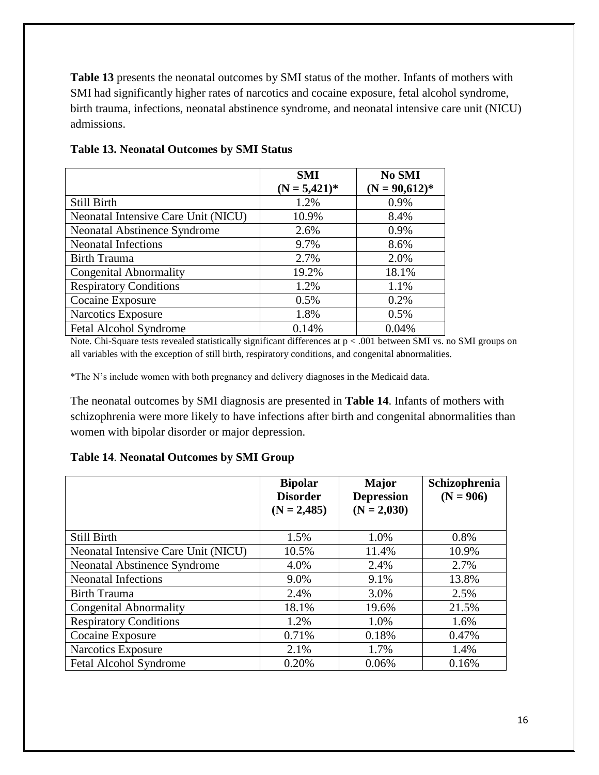**Table 13** presents the neonatal outcomes by SMI status of the mother. Infants of mothers with SMI had significantly higher rates of narcotics and cocaine exposure, fetal alcohol syndrome, birth trauma, infections, neonatal abstinence syndrome, and neonatal intensive care unit (NICU) admissions.

|                                     | <b>SMI</b>      | No SMI          |
|-------------------------------------|-----------------|-----------------|
|                                     | $(N = 5,421)^*$ | $(N = 90,612)*$ |
| Still Birth                         | 1.2%            | 0.9%            |
| Neonatal Intensive Care Unit (NICU) | 10.9%           | 8.4%            |
| <b>Neonatal Abstinence Syndrome</b> | 2.6%            | 0.9%            |
| <b>Neonatal Infections</b>          | 9.7%            | 8.6%            |
| <b>Birth Trauma</b>                 | 2.7%            | 2.0%            |
| <b>Congenital Abnormality</b>       | 19.2%           | 18.1%           |
| <b>Respiratory Conditions</b>       | 1.2%            | 1.1%            |
| Cocaine Exposure                    | 0.5%            | 0.2%            |
| Narcotics Exposure                  | 1.8%            | 0.5%            |
| <b>Fetal Alcohol Syndrome</b>       | 0.14%           | 0.04%           |

### **Table 13. Neonatal Outcomes by SMI Status**

Note. Chi-Square tests revealed statistically significant differences at p < .001 between SMI vs. no SMI groups on all variables with the exception of still birth, respiratory conditions, and congenital abnormalities.

\*The N's include women with both pregnancy and delivery diagnoses in the Medicaid data.

The neonatal outcomes by SMI diagnosis are presented in **Table 14**. Infants of mothers with schizophrenia were more likely to have infections after birth and congenital abnormalities than women with bipolar disorder or major depression.

#### **Table 14**. **Neonatal Outcomes by SMI Group**

|                                     | <b>Bipolar</b><br><b>Disorder</b><br>$(N = 2,485)$ | <b>Major</b><br><b>Depression</b><br>$(N = 2,030)$ | Schizophrenia<br>$(N = 906)$ |
|-------------------------------------|----------------------------------------------------|----------------------------------------------------|------------------------------|
| Still Birth                         | 1.5%                                               | 1.0%                                               | 0.8%                         |
| Neonatal Intensive Care Unit (NICU) | 10.5%                                              | 11.4%                                              | 10.9%                        |
| <b>Neonatal Abstinence Syndrome</b> | 4.0%                                               | 2.4%                                               | 2.7%                         |
| <b>Neonatal Infections</b>          | 9.0%                                               | 9.1%                                               | 13.8%                        |
| <b>Birth Trauma</b>                 | 2.4%                                               | 3.0%                                               | 2.5%                         |
| <b>Congenital Abnormality</b>       | 18.1%                                              | 19.6%                                              | 21.5%                        |
| <b>Respiratory Conditions</b>       | 1.2%                                               | 1.0%                                               | 1.6%                         |
| Cocaine Exposure                    | 0.71%                                              | 0.18%                                              | 0.47%                        |
| <b>Narcotics Exposure</b>           | 2.1%                                               | 1.7%                                               | 1.4%                         |
| <b>Fetal Alcohol Syndrome</b>       | 0.20%                                              | 0.06%                                              | 0.16%                        |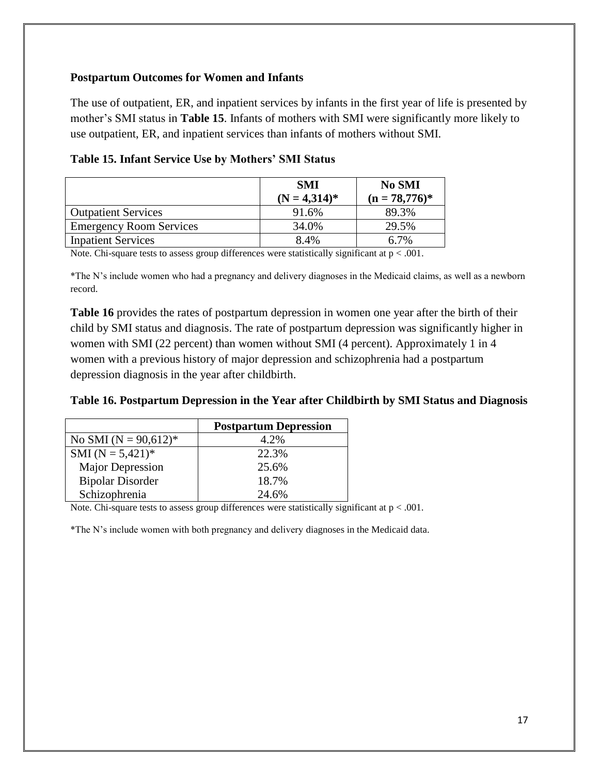### **Postpartum Outcomes for Women and Infants**

The use of outpatient, ER, and inpatient services by infants in the first year of life is presented by mother's SMI status in **Table 15**. Infants of mothers with SMI were significantly more likely to use outpatient, ER, and inpatient services than infants of mothers without SMI.

|                                | <b>SMI</b>      | <b>No SMI</b>    |
|--------------------------------|-----------------|------------------|
|                                | $(N = 4,314)^*$ | $(n = 78,776)^*$ |
| <b>Outpatient Services</b>     | 91.6%           | 89.3%            |
| <b>Emergency Room Services</b> | 34.0%           | 29.5%            |
| <b>Inpatient Services</b>      | 8.4%            | 7%               |

|  |  | Table 15. Infant Service Use by Mothers' SMI Status |  |
|--|--|-----------------------------------------------------|--|
|  |  |                                                     |  |

Note. Chi-square tests to assess group differences were statistically significant at  $p < .001$ .

\*The N's include women who had a pregnancy and delivery diagnoses in the Medicaid claims, as well as a newborn record.

**Table 16** provides the rates of postpartum depression in women one year after the birth of their child by SMI status and diagnosis. The rate of postpartum depression was significantly higher in women with SMI (22 percent) than women without SMI (4 percent). Approximately 1 in 4 women with a previous history of major depression and schizophrenia had a postpartum depression diagnosis in the year after childbirth.

|  |  | Table 16. Postpartum Depression in the Year after Childbirth by SMI Status and Diagnosis |  |
|--|--|------------------------------------------------------------------------------------------|--|
|  |  |                                                                                          |  |

|                          | <b>Postpartum Depression</b> |
|--------------------------|------------------------------|
| No SMI ( $N = 90,612$ )* | 4.2%                         |
| SMI ( $N = 5,421$ )*     | 22.3%                        |
| <b>Major Depression</b>  | 25.6%                        |
| <b>Bipolar Disorder</b>  | 18.7%                        |
| Schizophrenia            | 24.6%                        |

Note. Chi-square tests to assess group differences were statistically significant at p < .001.

\*The N's include women with both pregnancy and delivery diagnoses in the Medicaid data.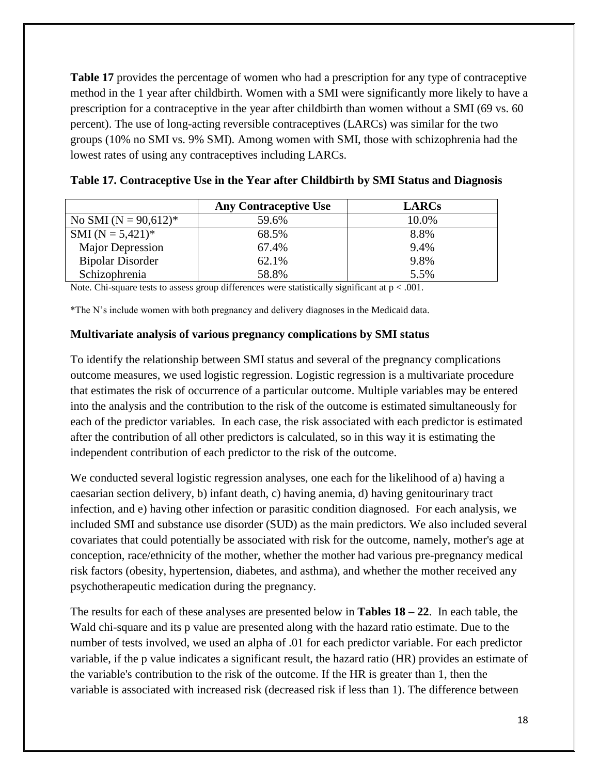**Table 17** provides the percentage of women who had a prescription for any type of contraceptive method in the 1 year after childbirth. Women with a SMI were significantly more likely to have a prescription for a contraceptive in the year after childbirth than women without a SMI (69 vs. 60 percent). The use of long-acting reversible contraceptives (LARCs) was similar for the two groups (10% no SMI vs. 9% SMI). Among women with SMI, those with schizophrenia had the lowest rates of using any contraceptives including LARCs.

|                          | <b>Any Contraceptive Use</b> | <b>LARCs</b> |
|--------------------------|------------------------------|--------------|
| No SMI ( $N = 90,612$ )* | 59.6%                        | 10.0%        |
| SMI ( $N = 5,421$ )*     | 68.5%                        | 8.8%         |
| <b>Major Depression</b>  | 67.4%                        | 9.4%         |
| <b>Bipolar Disorder</b>  | 62.1%                        | 9.8%         |
| Schizophrenia            | 58.8%                        | 5.5%         |

| Table 17. Contraceptive Use in the Year after Childbirth by SMI Status and Diagnosis |  |  |  |
|--------------------------------------------------------------------------------------|--|--|--|
|                                                                                      |  |  |  |

Note. Chi-square tests to assess group differences were statistically significant at  $p < .001$ .

\*The N's include women with both pregnancy and delivery diagnoses in the Medicaid data.

#### **Multivariate analysis of various pregnancy complications by SMI status**

To identify the relationship between SMI status and several of the pregnancy complications outcome measures, we used logistic regression. Logistic regression is a multivariate procedure that estimates the risk of occurrence of a particular outcome. Multiple variables may be entered into the analysis and the contribution to the risk of the outcome is estimated simultaneously for each of the predictor variables. In each case, the risk associated with each predictor is estimated after the contribution of all other predictors is calculated, so in this way it is estimating the independent contribution of each predictor to the risk of the outcome.

We conducted several logistic regression analyses, one each for the likelihood of a) having a caesarian section delivery, b) infant death, c) having anemia, d) having genitourinary tract infection, and e) having other infection or parasitic condition diagnosed. For each analysis, we included SMI and substance use disorder (SUD) as the main predictors. We also included several covariates that could potentially be associated with risk for the outcome, namely, mother's age at conception, race/ethnicity of the mother, whether the mother had various pre-pregnancy medical risk factors (obesity, hypertension, diabetes, and asthma), and whether the mother received any psychotherapeutic medication during the pregnancy.

The results for each of these analyses are presented below in **Tables 18 – 22**. In each table, the Wald chi-square and its p value are presented along with the hazard ratio estimate. Due to the number of tests involved, we used an alpha of .01 for each predictor variable. For each predictor variable, if the p value indicates a significant result, the hazard ratio (HR) provides an estimate of the variable's contribution to the risk of the outcome. If the HR is greater than 1, then the variable is associated with increased risk (decreased risk if less than 1). The difference between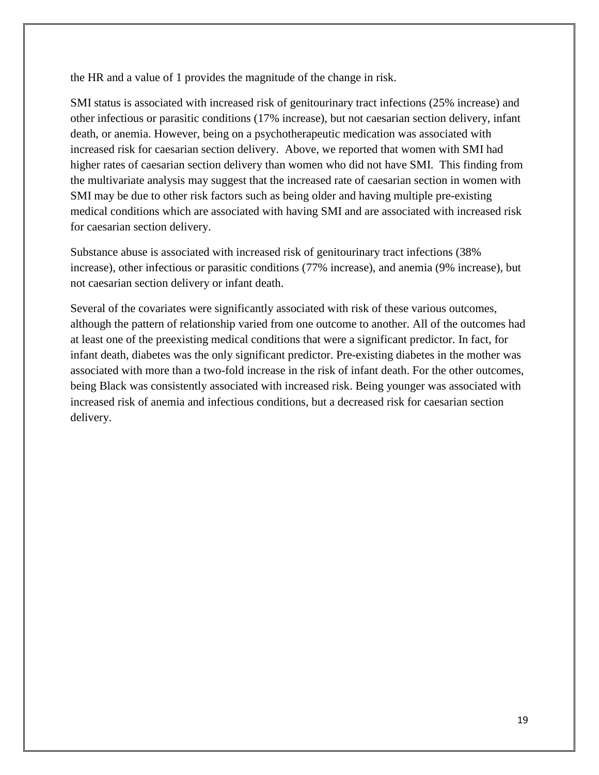the HR and a value of 1 provides the magnitude of the change in risk.

SMI status is associated with increased risk of genitourinary tract infections (25% increase) and other infectious or parasitic conditions (17% increase), but not caesarian section delivery, infant death, or anemia. However, being on a psychotherapeutic medication was associated with increased risk for caesarian section delivery. Above, we reported that women with SMI had higher rates of caesarian section delivery than women who did not have SMI. This finding from the multivariate analysis may suggest that the increased rate of caesarian section in women with SMI may be due to other risk factors such as being older and having multiple pre-existing medical conditions which are associated with having SMI and are associated with increased risk for caesarian section delivery.

Substance abuse is associated with increased risk of genitourinary tract infections (38% increase), other infectious or parasitic conditions (77% increase), and anemia (9% increase), but not caesarian section delivery or infant death.

Several of the covariates were significantly associated with risk of these various outcomes, although the pattern of relationship varied from one outcome to another. All of the outcomes had at least one of the preexisting medical conditions that were a significant predictor. In fact, for infant death, diabetes was the only significant predictor. Pre-existing diabetes in the mother was associated with more than a two-fold increase in the risk of infant death. For the other outcomes, being Black was consistently associated with increased risk. Being younger was associated with increased risk of anemia and infectious conditions, but a decreased risk for caesarian section delivery.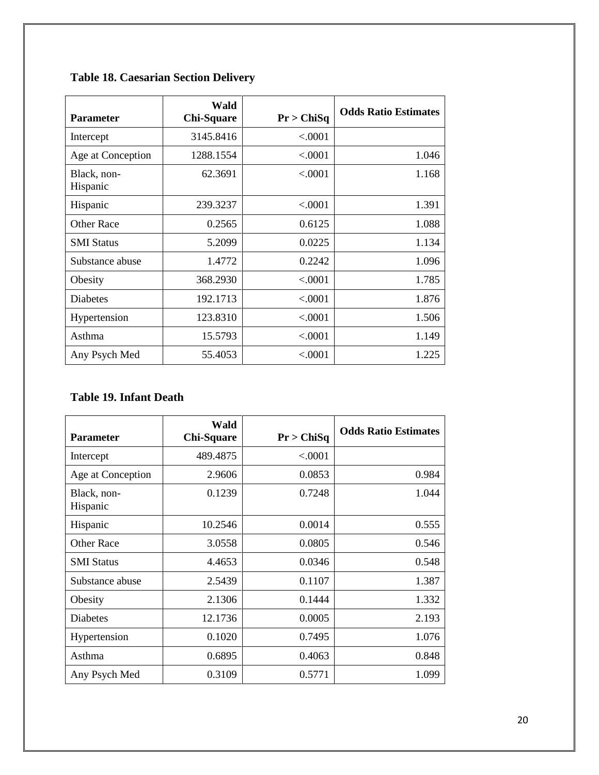| <b>Parameter</b>        | Wald<br><b>Chi-Square</b> | Pr > ChiSq | <b>Odds Ratio Estimates</b> |
|-------------------------|---------------------------|------------|-----------------------------|
| Intercept               | 3145.8416                 | < .0001    |                             |
| Age at Conception       | 1288.1554                 | < .0001    | 1.046                       |
| Black, non-<br>Hispanic | 62.3691                   | < .0001    | 1.168                       |
| Hispanic                | 239.3237                  | < .0001    | 1.391                       |
| Other Race              | 0.2565                    | 0.6125     | 1.088                       |
| <b>SMI</b> Status       | 5.2099                    | 0.0225     | 1.134                       |
| Substance abuse         | 1.4772                    | 0.2242     | 1.096                       |
| Obesity                 | 368.2930                  | < .0001    | 1.785                       |
| <b>Diabetes</b>         | 192.1713                  | < .0001    | 1.876                       |
| Hypertension            | 123.8310                  | < .0001    | 1.506                       |
| Asthma                  | 15.5793                   | < .0001    | 1.149                       |
| Any Psych Med           | 55.4053                   | < .0001    | 1.225                       |

# **Table 18. Caesarian Section Delivery**

## **Table 19. Infant Death**

| <b>Parameter</b>        | Wald<br><b>Chi-Square</b> | Pr > ChiSq | <b>Odds Ratio Estimates</b> |
|-------------------------|---------------------------|------------|-----------------------------|
| Intercept               | 489.4875                  | < .0001    |                             |
| Age at Conception       | 2.9606                    | 0.0853     | 0.984                       |
| Black, non-<br>Hispanic | 0.1239                    | 0.7248     | 1.044                       |
| Hispanic                | 10.2546                   | 0.0014     | 0.555                       |
| <b>Other Race</b>       | 3.0558                    | 0.0805     | 0.546                       |
| <b>SMI</b> Status       | 4.4653                    | 0.0346     | 0.548                       |
| Substance abuse         | 2.5439                    | 0.1107     | 1.387                       |
| Obesity                 | 2.1306                    | 0.1444     | 1.332                       |
| Diabetes                | 12.1736                   | 0.0005     | 2.193                       |
| Hypertension            | 0.1020                    | 0.7495     | 1.076                       |
| Asthma                  | 0.6895                    | 0.4063     | 0.848                       |
| Any Psych Med           | 0.3109                    | 0.5771     | 1.099                       |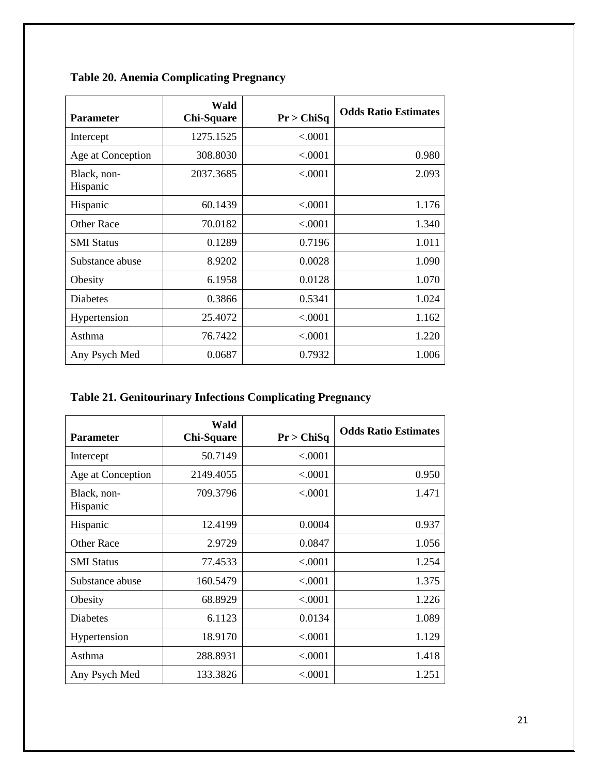| <b>Parameter</b>        | Wald<br><b>Chi-Square</b> | Pr > ChiSq | <b>Odds Ratio Estimates</b> |
|-------------------------|---------------------------|------------|-----------------------------|
| Intercept               | 1275.1525                 | < .0001    |                             |
| Age at Conception       | 308.8030                  | < .0001    | 0.980                       |
| Black, non-<br>Hispanic | 2037.3685                 | < .0001    | 2.093                       |
| Hispanic                | 60.1439                   | < .0001    | 1.176                       |
| <b>Other Race</b>       | 70.0182                   | < .0001    | 1.340                       |
| <b>SMI Status</b>       | 0.1289                    | 0.7196     | 1.011                       |
| Substance abuse         | 8.9202                    | 0.0028     | 1.090                       |
| Obesity                 | 6.1958                    | 0.0128     | 1.070                       |
| Diabetes                | 0.3866                    | 0.5341     | 1.024                       |
| Hypertension            | 25.4072                   | ${<}0001$  | 1.162                       |
| Asthma                  | 76.7422                   | < .0001    | 1.220                       |
| Any Psych Med           | 0.0687                    | 0.7932     | 1.006                       |

**Table 20. Anemia Complicating Pregnancy**

|  |  | <b>Table 21. Genitourinary Infections Complicating Pregnancy</b> |  |  |
|--|--|------------------------------------------------------------------|--|--|
|  |  |                                                                  |  |  |

| <b>Parameter</b>        | Wald<br><b>Chi-Square</b> | Pr > ChiSq | <b>Odds Ratio Estimates</b> |
|-------------------------|---------------------------|------------|-----------------------------|
| Intercept               | 50.7149                   | < .0001    |                             |
| Age at Conception       | 2149.4055                 | < .0001    | 0.950                       |
| Black, non-<br>Hispanic | 709.3796                  | < .0001    | 1.471                       |
| Hispanic                | 12.4199                   | 0.0004     | 0.937                       |
| <b>Other Race</b>       | 2.9729                    | 0.0847     | 1.056                       |
| <b>SMI</b> Status       | 77.4533                   | < .0001    | 1.254                       |
| Substance abuse         | 160.5479                  | < .0001    | 1.375                       |
| Obesity                 | 68.8929                   | < .0001    | 1.226                       |
| <b>Diabetes</b>         | 6.1123                    | 0.0134     | 1.089                       |
| Hypertension            | 18.9170                   | < .0001    | 1.129                       |
| Asthma                  | 288.8931                  | < .0001    | 1.418                       |
| Any Psych Med           | 133.3826                  | < .0001    | 1.251                       |